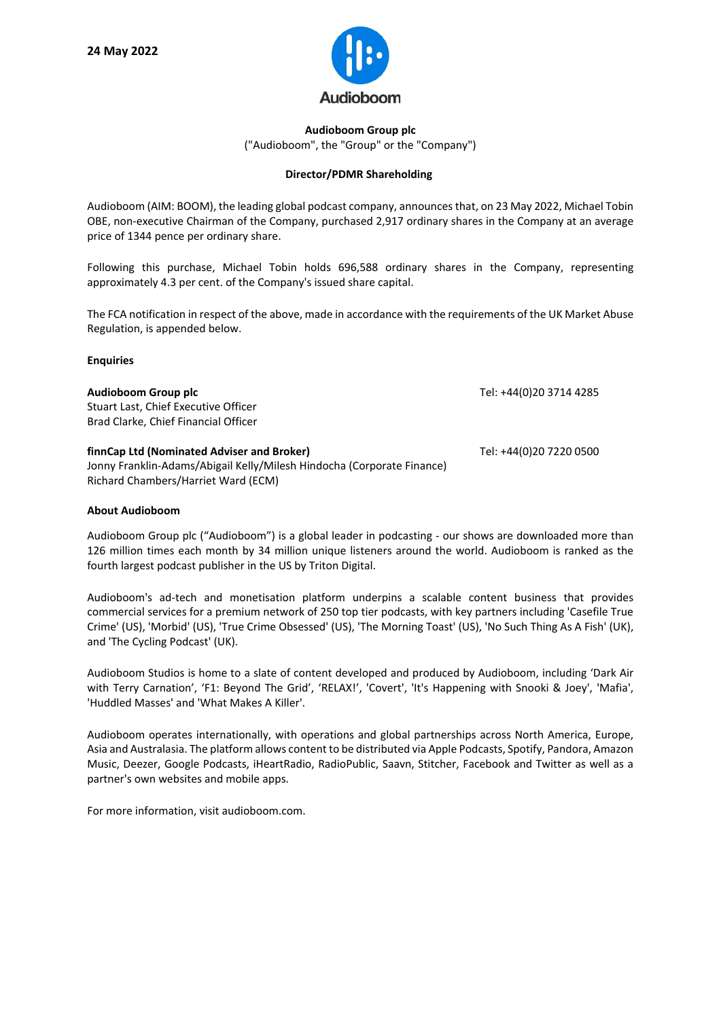

## **Audioboom Group plc** ("Audioboom", the "Group" or the "Company")

## **Director/PDMR Shareholding**

Audioboom (AIM: BOOM), the leading global podcast company, announces that, on 23 May 2022, Michael Tobin OBE, non-executive Chairman of the Company, purchased 2,917 ordinary shares in the Company at an average price of 1344 pence per ordinary share.

Following this purchase, Michael Tobin holds 696,588 ordinary shares in the Company, representing approximately 4.3 per cent. of the Company's issued share capital.

The FCA notification in respect of the above, made in accordance with the requirements of the UK Market Abuse Regulation, is appended below.

## **Enquiries**

| Audioboom Group plc<br>Stuart Last, Chief Executive Officer<br>Brad Clarke, Chief Financial Officer                                                         | Tel: +44(0)20 3714 4285 |
|-------------------------------------------------------------------------------------------------------------------------------------------------------------|-------------------------|
| finnCap Ltd (Nominated Adviser and Broker)<br>Jonny Franklin-Adams/Abigail Kelly/Milesh Hindocha (Corporate Finance)<br>Richard Chambers/Harriet Ward (ECM) | Tel: +44(0)20 7220 0500 |

## **About Audioboom**

Audioboom Group plc ("Audioboom") is a global leader in podcasting - our shows are downloaded more than 126 million times each month by 34 million unique listeners around the world. Audioboom is ranked as the fourth largest podcast publisher in the US by Triton Digital.

Audioboom's ad-tech and monetisation platform underpins a scalable content business that provides commercial services for a premium network of 250 top tier podcasts, with key partners including 'Casefile True Crime' (US), 'Morbid' (US), 'True Crime Obsessed' (US), 'The Morning Toast' (US), 'No Such Thing As A Fish' (UK), and 'The Cycling Podcast' (UK).

Audioboom Studios is home to a slate of content developed and produced by Audioboom, including 'Dark Air with Terry Carnation', 'F1: Beyond The Grid', 'RELAX!', 'Covert', 'It's Happening with Snooki & Joey', 'Mafia', 'Huddled Masses' and 'What Makes A Killer'.

Audioboom operates internationally, with operations and global partnerships across North America, Europe, Asia and Australasia. The platform allows content to be distributed via Apple Podcasts, Spotify, Pandora, Amazon Music, Deezer, Google Podcasts, iHeartRadio, RadioPublic, Saavn, Stitcher, Facebook and Twitter as well as a partner's own websites and mobile apps.

For more information, visit audioboom.com.